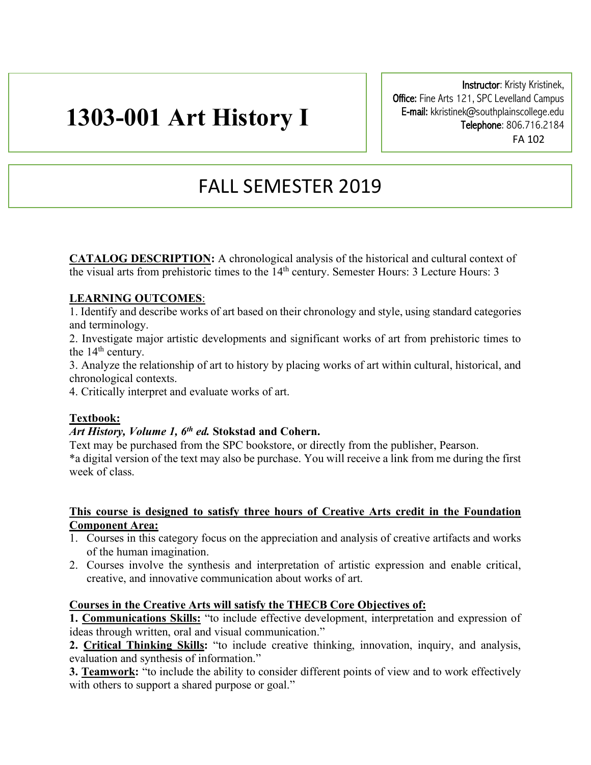# **1303-001 Art History I**

Instructor: Kristy Kristinek, Office: Fine Arts 121, SPC Levelland Campus E-mail: kkristinek@southplainscollege.edu Telephone: 806.716.2184 FA 102

# FALL SEMESTER 2019

**CATALOG DESCRIPTION:** A chronological analysis of the historical and cultural context of the visual arts from prehistoric times to the  $14<sup>th</sup>$  century. Semester Hours: 3 Lecture Hours: 3

# **LEARNING OUTCOMES**:

1. Identify and describe works of art based on their chronology and style, using standard categories and terminology.

2. Investigate major artistic developments and significant works of art from prehistoric times to the 14<sup>th</sup> century.

3. Analyze the relationship of art to history by placing works of art within cultural, historical, and chronological contexts.

4. Critically interpret and evaluate works of art.

# **Textbook:**

# *Art History, Volume 1, 6th ed.* **Stokstad and Cohern.**

Text may be purchased from the SPC bookstore, or directly from the publisher, Pearson. \*a digital version of the text may also be purchase. You will receive a link from me during the first week of class.

#### **This course is designed to satisfy three hours of Creative Arts credit in the Foundation Component Area:**

- 1. Courses in this category focus on the appreciation and analysis of creative artifacts and works of the human imagination.
- 2. Courses involve the synthesis and interpretation of artistic expression and enable critical, creative, and innovative communication about works of art.

# **Courses in the Creative Arts will satisfy the THECB Core Objectives of:**

**1. Communications Skills:** "to include effective development, interpretation and expression of ideas through written, oral and visual communication."

**2. Critical Thinking Skills:** "to include creative thinking, innovation, inquiry, and analysis, evaluation and synthesis of information."

**3. Teamwork:** "to include the ability to consider different points of view and to work effectively with others to support a shared purpose or goal."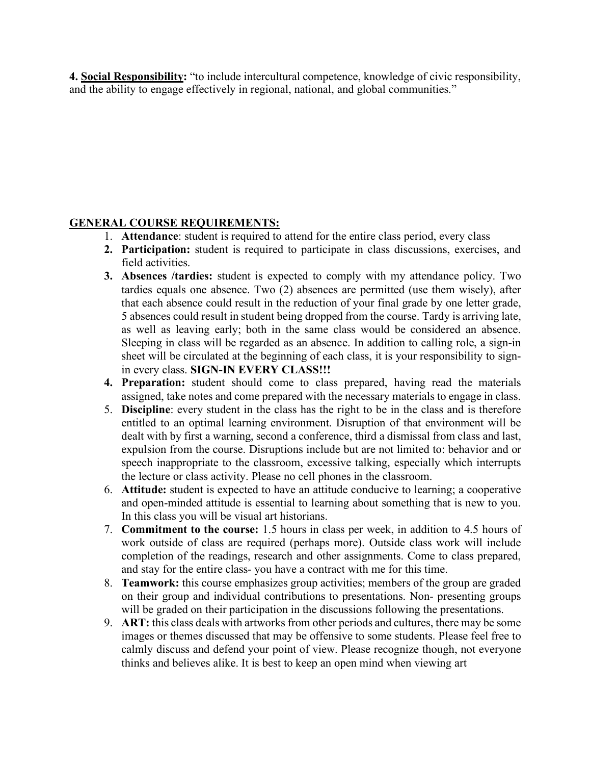**4. Social Responsibility:** "to include intercultural competence, knowledge of civic responsibility, and the ability to engage effectively in regional, national, and global communities."

# **GENERAL COURSE REQUIREMENTS:**

- 1. **Attendance**: student is required to attend for the entire class period, every class
- **2. Participation:** student is required to participate in class discussions, exercises, and field activities.
- **3. Absences /tardies:** student is expected to comply with my attendance policy. Two tardies equals one absence. Two (2) absences are permitted (use them wisely), after that each absence could result in the reduction of your final grade by one letter grade, 5 absences could result in student being dropped from the course. Tardy is arriving late, as well as leaving early; both in the same class would be considered an absence. Sleeping in class will be regarded as an absence. In addition to calling role, a sign-in sheet will be circulated at the beginning of each class, it is your responsibility to signin every class. **SIGN-IN EVERY CLASS!!!**
- **4. Preparation:** student should come to class prepared, having read the materials assigned, take notes and come prepared with the necessary materials to engage in class.
- 5. **Discipline**: every student in the class has the right to be in the class and is therefore entitled to an optimal learning environment. Disruption of that environment will be dealt with by first a warning, second a conference, third a dismissal from class and last, expulsion from the course. Disruptions include but are not limited to: behavior and or speech inappropriate to the classroom, excessive talking, especially which interrupts the lecture or class activity. Please no cell phones in the classroom.
- 6. **Attitude:** student is expected to have an attitude conducive to learning; a cooperative and open-minded attitude is essential to learning about something that is new to you. In this class you will be visual art historians.
- 7. **Commitment to the course:** 1.5 hours in class per week, in addition to 4.5 hours of work outside of class are required (perhaps more). Outside class work will include completion of the readings, research and other assignments. Come to class prepared, and stay for the entire class- you have a contract with me for this time.
- 8. **Teamwork:** this course emphasizes group activities; members of the group are graded on their group and individual contributions to presentations. Non- presenting groups will be graded on their participation in the discussions following the presentations.
- 9. **ART:** this class deals with artworks from other periods and cultures, there may be some images or themes discussed that may be offensive to some students. Please feel free to calmly discuss and defend your point of view. Please recognize though, not everyone thinks and believes alike. It is best to keep an open mind when viewing art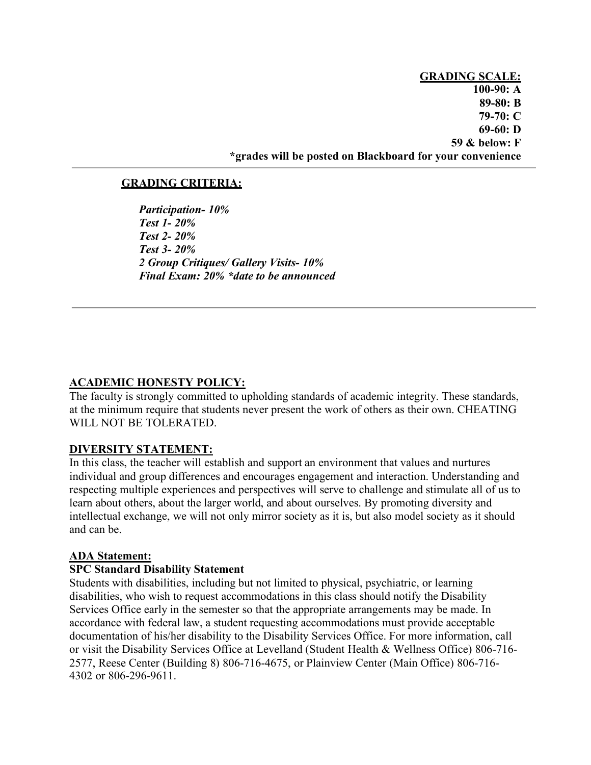**GRADING SCALE: 100-90: A 89-80: B 79-70: C 69-60: D 59 & below: F \*grades will be posted on Blackboard for your convenience** 

#### **GRADING CRITERIA:**

*Participation- 10% Test 1- 20% Test 2- 20% Test 3- 20% 2 Group Critiques/ Gallery Visits- 10% Final Exam: 20% \*date to be announced*

### **ACADEMIC HONESTY POLICY:**

The faculty is strongly committed to upholding standards of academic integrity. These standards, at the minimum require that students never present the work of others as their own. CHEATING WILL NOT BE TOLERATED.

#### **DIVERSITY STATEMENT:**

In this class, the teacher will establish and support an environment that values and nurtures individual and group differences and encourages engagement and interaction. Understanding and respecting multiple experiences and perspectives will serve to challenge and stimulate all of us to learn about others, about the larger world, and about ourselves. By promoting diversity and intellectual exchange, we will not only mirror society as it is, but also model society as it should and can be.

#### **ADA Statement:**

#### **SPC Standard Disability Statement**

Students with disabilities, including but not limited to physical, psychiatric, or learning disabilities, who wish to request accommodations in this class should notify the Disability Services Office early in the semester so that the appropriate arrangements may be made. In accordance with federal law, a student requesting accommodations must provide acceptable documentation of his/her disability to the Disability Services Office. For more information, call or visit the Disability Services Office at Levelland (Student Health & Wellness Office) 806-716- 2577, Reese Center (Building 8) 806-716-4675, or Plainview Center (Main Office) 806-716- 4302 or 806-296-9611.